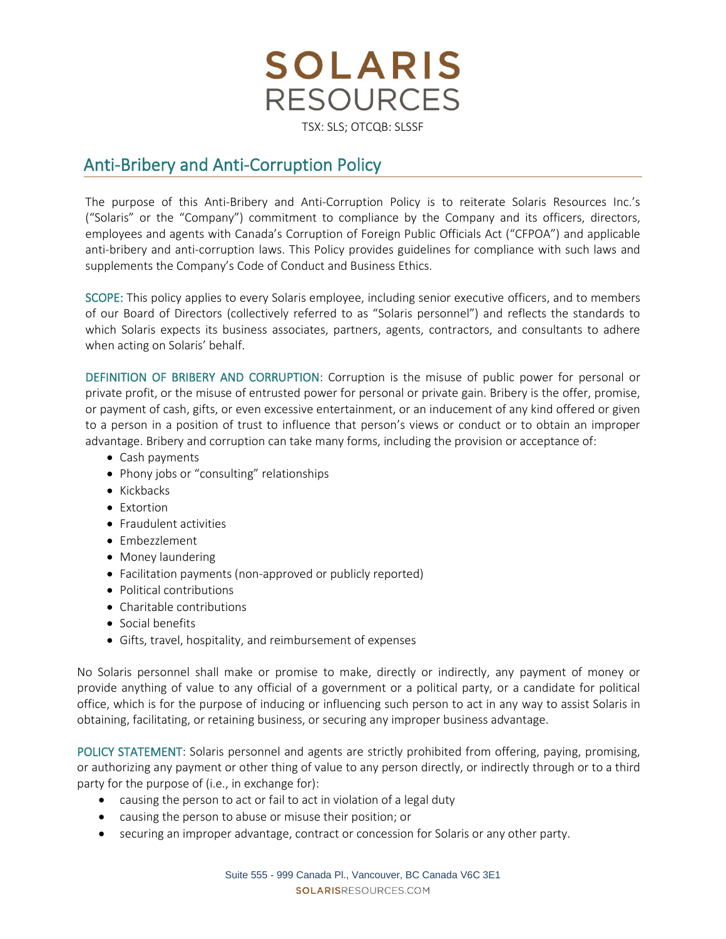

## TSX: SLS; OTCQB: SLSSF

## Anti-Bribery and Anti-Corruption Policy

The purpose of this Anti-Bribery and Anti-Corruption Policy is to reiterate Solaris Resources Inc.'s ("Solaris" or the "Company") commitment to compliance by the Company and its officers, directors, employees and agents with Canada's Corruption of Foreign Public Officials Act ("CFPOA") and applicable anti-bribery and anti-corruption laws. This Policy provides guidelines for compliance with such laws and supplements the Company's Code of Conduct and Business Ethics.

SCOPE: This policy applies to every Solaris employee, including senior executive officers, and to members of our Board of Directors (collectively referred to as "Solaris personnel") and reflects the standards to which Solaris expects its business associates, partners, agents, contractors, and consultants to adhere when acting on Solaris' behalf.

DEFINITION OF BRIBERY AND CORRUPTION: Corruption is the misuse of public power for personal or private profit, or the misuse of entrusted power for personal or private gain. Bribery is the offer, promise, or payment of cash, gifts, or even excessive entertainment, or an inducement of any kind offered or given to a person in a position of trust to influence that person's views or conduct or to obtain an improper advantage. Bribery and corruption can take many forms, including the provision or acceptance of:

- Cash payments
- Phony jobs or "consulting" relationships
- Kickbacks
- Extortion
- Fraudulent activities
- Embezzlement
- Money laundering
- Facilitation payments (non-approved or publicly reported)
- Political contributions
- Charitable contributions
- Social benefits
- Gifts, travel, hospitality, and reimbursement of expenses

No Solaris personnel shall make or promise to make, directly or indirectly, any payment of money or provide anything of value to any official of a government or a political party, or a candidate for political office, which is for the purpose of inducing or influencing such person to act in any way to assist Solaris in obtaining, facilitating, or retaining business, or securing any improper business advantage.

POLICY STATEMENT: Solaris personnel and agents are strictly prohibited from offering, paying, promising, or authorizing any payment or other thing of value to any person directly, or indirectly through or to a third party for the purpose of (i.e., in exchange for):

- causing the person to act or fail to act in violation of a legal duty
- causing the person to abuse or misuse their position; or
- securing an improper advantage, contract or concession for Solaris or any other party.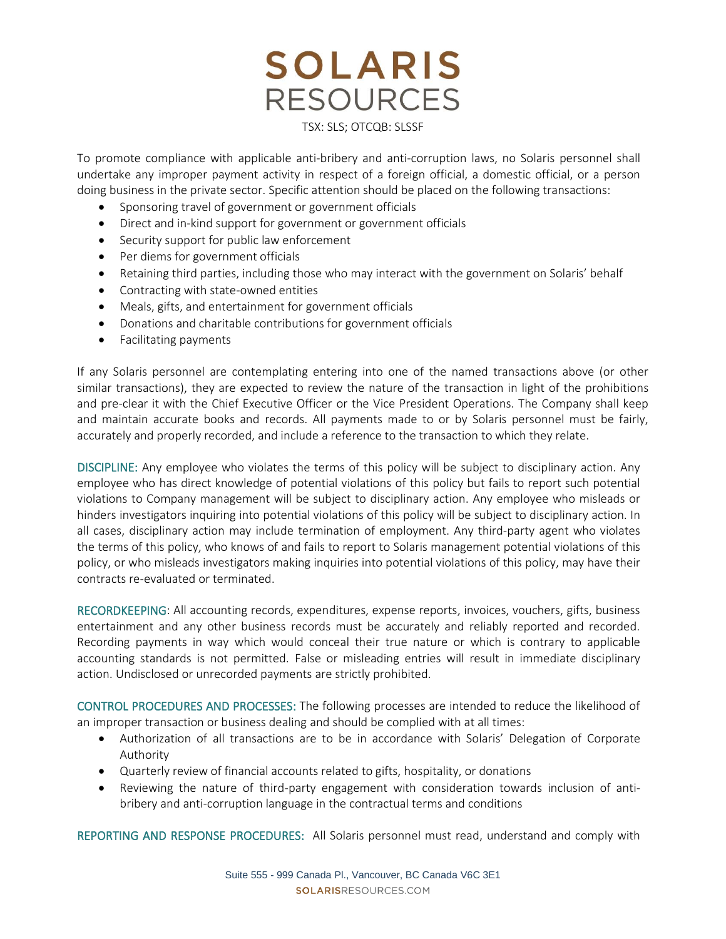## **SOLARIS RESOURCES** TSX: SLS; OTCQB: SLSSF

To promote compliance with applicable anti-bribery and anti-corruption laws, no Solaris personnel shall undertake any improper payment activity in respect of a foreign official, a domestic official, or a person doing business in the private sector. Specific attention should be placed on the following transactions:

- Sponsoring travel of government or government officials
- Direct and in-kind support for government or government officials
- Security support for public law enforcement
- Per diems for government officials
- Retaining third parties, including those who may interact with the government on Solaris' behalf
- Contracting with state-owned entities
- Meals, gifts, and entertainment for government officials
- Donations and charitable contributions for government officials
- Facilitating payments

If any Solaris personnel are contemplating entering into one of the named transactions above (or other similar transactions), they are expected to review the nature of the transaction in light of the prohibitions and pre-clear it with the Chief Executive Officer or the Vice President Operations. The Company shall keep and maintain accurate books and records. All payments made to or by Solaris personnel must be fairly, accurately and properly recorded, and include a reference to the transaction to which they relate.

DISCIPLINE: Any employee who violates the terms of this policy will be subject to disciplinary action. Any employee who has direct knowledge of potential violations of this policy but fails to report such potential violations to Company management will be subject to disciplinary action. Any employee who misleads or hinders investigators inquiring into potential violations of this policy will be subject to disciplinary action. In all cases, disciplinary action may include termination of employment. Any third-party agent who violates the terms of this policy, who knows of and fails to report to Solaris management potential violations of this policy, or who misleads investigators making inquiries into potential violations of this policy, may have their contracts re-evaluated or terminated.

RECORDKEEPING: All accounting records, expenditures, expense reports, invoices, vouchers, gifts, business entertainment and any other business records must be accurately and reliably reported and recorded. Recording payments in way which would conceal their true nature or which is contrary to applicable accounting standards is not permitted. False or misleading entries will result in immediate disciplinary action. Undisclosed or unrecorded payments are strictly prohibited.

CONTROL PROCEDURES AND PROCESSES: The following processes are intended to reduce the likelihood of an improper transaction or business dealing and should be complied with at all times:

- Authorization of all transactions are to be in accordance with Solaris' Delegation of Corporate Authority
- Quarterly review of financial accounts related to gifts, hospitality, or donations
- Reviewing the nature of third-party engagement with consideration towards inclusion of antibribery and anti-corruption language in the contractual terms and conditions

REPORTING AND RESPONSE PROCEDURES: All Solaris personnel must read, understand and comply with